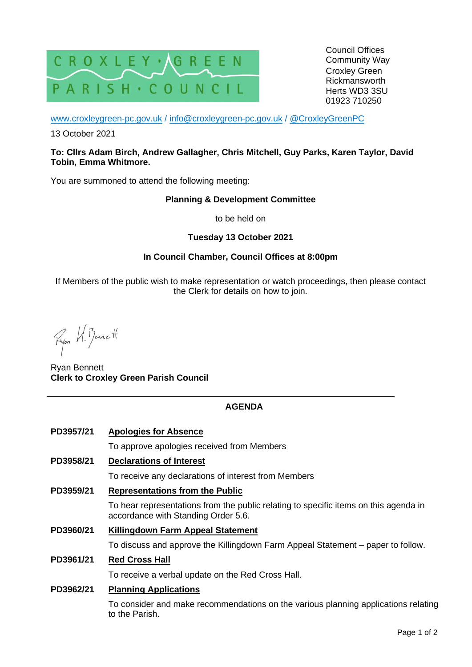

Council Offices Community Way Croxley Green Rickmansworth Herts WD3 3SU 01923 710250

[www.croxleygreen-pc.gov.uk](http://www.croxleygreen-pc.gov.uk/) / [info@croxleygreen-pc.gov.uk](mailto:info@croxleygreen-pc.gov.uk) / [@CroxleyGreenPC](https://twitter.com/CroxleyGreenPC)

13 October 2021

### **To: Cllrs Adam Birch, Andrew Gallagher, Chris Mitchell, Guy Parks, Karen Taylor, David Tobin, Emma Whitmore.**

You are summoned to attend the following meeting:

### **Planning & Development Committee**

to be held on

## **Tuesday 13 October 2021**

## **In Council Chamber, Council Offices at 8:00pm**

If Members of the public wish to make representation or watch proceedings, then please contact the Clerk for details on how to join.

Ryon W. Benett

Ryan Bennett **Clerk to Croxley Green Parish Council**

# **AGENDA**

**PD3957/21 Apologies for Absence** To approve apologies received from Members **PD3958/21 Declarations of Interest** To receive any declarations of interest from Members **PD3959/21 Representations from the Public** To hear representations from the public relating to specific items on this agenda in accordance with Standing Order 5.6. **PD3960/21 Killingdown Farm Appeal Statement** To discuss and approve the Killingdown Farm Appeal Statement – paper to follow. **PD3961/21 Red Cross Hall** To receive a verbal update on the Red Cross Hall. **PD3962/21 Planning Applications** To consider and make recommendations on the various planning applications relating

to the Parish.